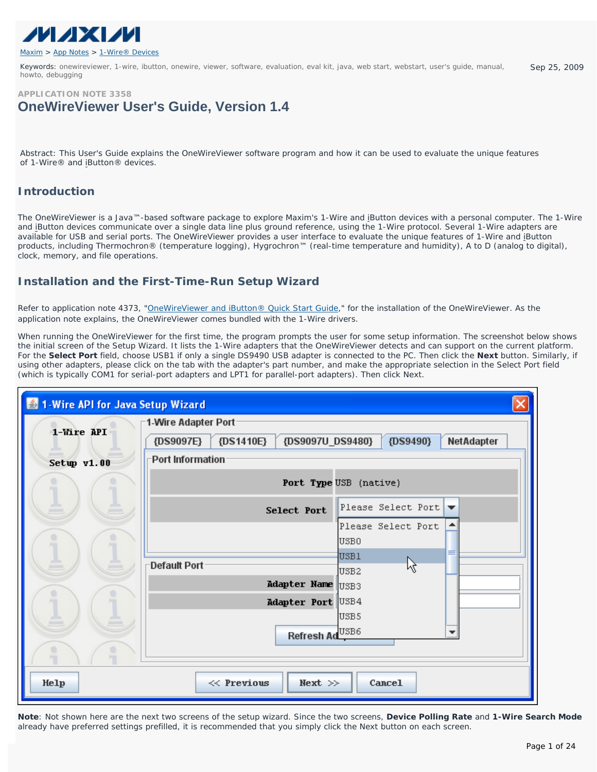

Keywords: onewireviewer, 1-wire, ibutton, onewire, viewer, software, evaluation, eval kit, java, web start, webstart, user's guide, manual, howto, debugging Sep 25, 2009



*Abstract: This User's Guide explains the OneWireViewer software program and how it can be used to evaluate the unique features of 1-Wire® and iButton® devices.* 

## **Introduction**

The OneWireViewer is a Java™-based software package to explore Maxim's 1-Wire and iButton devices with a personal computer. The 1-Wire and iButton devices communicate over a single data line plus ground reference, using the 1-Wire protocol. Several 1-Wire adapters are available for USB and serial ports. The OneWireViewer provides a user interface to evaluate the unique features of 1-Wire and iButton products, including Thermochron® (temperature logging), Hygrochron™ (real-time temperature and humidity), A to D (analog to digital), clock, memory, and file operations.

# **Installation and the First-Time-Run Setup Wizard**

Refer to application note 4373, ["OneWireViewer and iButton® Quick Start Guide](http://www.maxim-ic.com/an4373)," for the installation of the OneWireViewer. As the application note explains, the OneWireViewer comes bundled with the 1-Wire drivers.

When running the OneWireViewer for the first time, the program prompts the user for some setup information. The screenshot below shows the initial screen of the Setup Wizard. It lists the 1-Wire adapters that the OneWireViewer detects and can support on the current platform. For the **Select Port** field, choose USB1 if only a single DS9490 USB adapter is connected to the PC. Then click the **Next** button. Similarly, if using other adapters, please click on the tab with the adapter's part number, and make the appropriate selection in the Select Port field (which is typically COM1 for serial-port adapters and LPT1 for parallel-port adapters). Then click Next.

| 4 1-Wire API for Java Setup Wizard |                                                                      |  |  |  |  |  |  |
|------------------------------------|----------------------------------------------------------------------|--|--|--|--|--|--|
|                                    | 1-Wire Adapter Port-                                                 |  |  |  |  |  |  |
| 1-Wire API                         | {DS1410E}<br>{DS9097E}<br>{DS9097U_DS9480}<br>{DS9490}<br>NetAdapter |  |  |  |  |  |  |
| Setup v1.00                        | Port Information                                                     |  |  |  |  |  |  |
|                                    | Port Type USB (native)                                               |  |  |  |  |  |  |
|                                    | Please Select Port $\blacktriangledown$<br>Select Port               |  |  |  |  |  |  |
|                                    | Please Select Port<br>USB0                                           |  |  |  |  |  |  |
|                                    | USB1<br><b>⊤Default Port</b><br>ß<br>USB <sub>2</sub>                |  |  |  |  |  |  |
|                                    | Adapter Name USB3                                                    |  |  |  |  |  |  |
|                                    | Adapter Port USB4                                                    |  |  |  |  |  |  |
|                                    | USB <sub>5</sub>                                                     |  |  |  |  |  |  |
|                                    | USB6<br><b>Refresh Ad</b>                                            |  |  |  |  |  |  |
|                                    |                                                                      |  |  |  |  |  |  |
| Help                               | $\ll$ Previous<br>Next $\gg$<br>Cancel                               |  |  |  |  |  |  |

**Note**: Not shown here are the next two screens of the setup wizard. Since the two screens, **Device Polling Rate** and **1-Wire Search Mode** already have preferred settings prefilled, it is recommended that you simply click the Next button on each screen.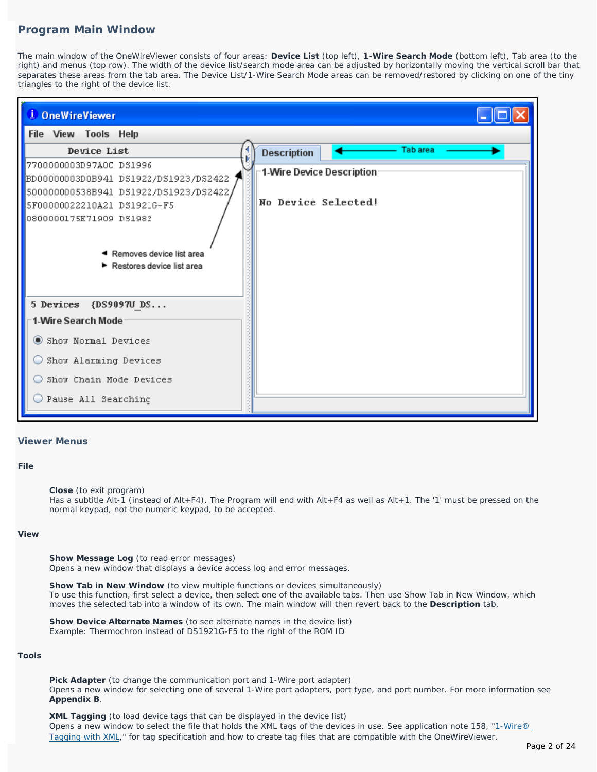## **Program Main Window**

The main window of the OneWireViewer consists of four areas: **Device List** (top left), **1-Wire Search Mode** (bottom left), Tab area (to the right) and menus (top row). The width of the device list/search mode area can be adjusted by horizontally moving the vertical scroll bar that separates these areas from the tab area. The Device List/1-Wire Search Mode areas can be removed/restored by clicking on one of the tiny triangles to the right of the device list.

|  | <sup>i</sup> OneWireViewer |                                                        |                           |  |          |  |  |
|--|----------------------------|--------------------------------------------------------|---------------------------|--|----------|--|--|
|  | File View Tools Help       |                                                        |                           |  |          |  |  |
|  | Device List                |                                                        | <b>Description</b>        |  | Tab area |  |  |
|  |                            | 7700000003D97A0C DS1996                                | 1-Wire Device Description |  |          |  |  |
|  |                            | BD00000003D0B941 DS1922/DS1923/DS2422                  |                           |  |          |  |  |
|  |                            | 500000000538B941 DS1922/DS1923/DS2422,                 | No Device Selected!       |  |          |  |  |
|  |                            | 5F00000022210A21 DS1921G-F5<br>0800000175E71909 DS1982 |                           |  |          |  |  |
|  |                            |                                                        |                           |  |          |  |  |
|  |                            |                                                        |                           |  |          |  |  |
|  |                            | ◀ Removes device list area                             |                           |  |          |  |  |
|  |                            | ▶ Restores device list area                            |                           |  |          |  |  |
|  |                            |                                                        |                           |  |          |  |  |
|  |                            | 5 Devices {DS9097U DS                                  |                           |  |          |  |  |
|  | 1-Wire Search Mode         |                                                        |                           |  |          |  |  |
|  |                            | Show Normal Devices                                    |                           |  |          |  |  |
|  |                            | Show Alarming Devices                                  |                           |  |          |  |  |
|  |                            | Show Chain Mode Devices                                |                           |  |          |  |  |
|  |                            | Pause All Searching                                    |                           |  |          |  |  |
|  |                            |                                                        |                           |  |          |  |  |

## **Viewer Menus**

## **File**

**Close** (to exit program)

Has a subtitle Alt-1 (instead of Alt+F4). The Program will end with Alt+F4 as well as Alt+1. The '1' must be pressed on the normal keypad, not the numeric keypad, to be accepted.

#### **View**

**Show Message Log** (to read error messages) Opens a new window that displays a device access log and error messages.

**Show Tab in New Window** (to view multiple functions or devices simultaneously) To use this function, first select a device, then select one of the available tabs. Then use Show Tab in New Window, which moves the selected tab into a window of its own. The main window will then revert back to the **Description** tab.

**Show Device Alternate Names** (to see alternate names in the device list) Example: Thermochron instead of DS1921G-F5 to the right of the ROM ID

### **Tools**

**Pick Adapter** (to change the communication port and 1-Wire port adapter) Opens a new window for selecting one of several 1-Wire port adapters, port type, and port number. For more information see **Appendix B**.

**XML Tagging** (to load device tags that can be displayed in the device list) Opens a new window to select the file that holds the XML tags of the devices in use. See application note 158, ["1-Wire®](http://www.maxim-ic.com/an158) [Tagging with XML,](http://www.maxim-ic.com/an158)" for tag specification and how to create tag files that are compatible with the OneWireViewer.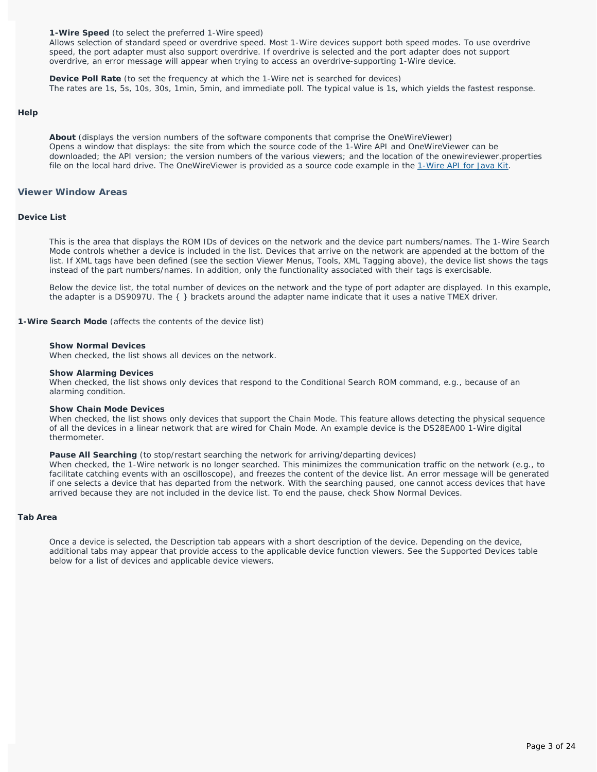**1-Wire Speed** (to select the preferred 1-Wire speed)

Allows selection of standard speed or overdrive speed. Most 1-Wire devices support both speed modes. To use overdrive speed, the port adapter must also support overdrive. If overdrive is selected and the port adapter does not support overdrive, an error message will appear when trying to access an overdrive-supporting 1-Wire device.

**Device Poll Rate** (to set the frequency at which the 1-Wire net is searched for devices) The rates are 1s, 5s, 10s, 30s, 1min, 5min, and immediate poll. The typical value is 1s, which yields the fastest response.

#### **Help**

**About** (displays the version numbers of the software components that comprise the OneWireViewer) Opens a window that displays: the site from which the source code of the 1-Wire API and OneWireViewer can be downloaded; the API version; the version numbers of the various viewers; and the location of the onewireviewer.properties file on the local hard drive. The OneWireViewer is provided as a source code example in the [1-Wire API for Java Kit.](http://www.maxim-ic.com/products/ibutton/software/1wire/1wire_api.cfm)

## **Viewer Window Areas**

## **Device List**

This is the area that displays the ROM IDs of devices on the network and the device part numbers/names. The 1-Wire Search Mode controls whether a device is included in the list. Devices that arrive on the network are appended at the bottom of the list. If XML tags have been defined (see the section *Viewer Menus, Tools, XML Tagging* above), the device list shows the tags instead of the part numbers/names. In addition, only the functionality associated with their tags is exercisable.

Below the device list, the total number of devices on the network and the type of port adapter are displayed. In this example, the adapter is a DS9097U. The { } brackets around the adapter name indicate that it uses a native TMEX driver.

**1-Wire Search Mode** (affects the contents of the device list)

#### **Show Normal Devices**

When checked, the list shows *all* devices on the network.

#### **Show Alarming Devices**

When checked, the list shows *only* devices that respond to the Conditional Search ROM command, e.g., because of an alarming condition.

#### **Show Chain Mode Devices**

When checked, the list shows *only* devices that support the Chain Mode. This feature allows detecting the physical sequence of all the devices in a linear network that are wired for Chain Mode. An example device is the DS28EA00 1-Wire digital thermometer.

#### **Pause All Searching** (to stop/restart searching the network for arriving/departing devices)

When checked, the 1-Wire network is no longer searched. This minimizes the communication traffic on the network (e.g., to facilitate catching events with an oscilloscope), and freezes the content of the device list. An error message will be generated if one selects a device that has departed from the network. With the searching paused, one cannot access devices that have arrived because they are not included in the device list. To end the pause, check Show Normal Devices.

#### **Tab Area**

Once a device is selected, the Description tab appears with a short description of the device. Depending on the device, additional tabs may appear that provide access to the applicable device function viewers. See the *Supported Devices* table below for a list of devices and applicable device viewers.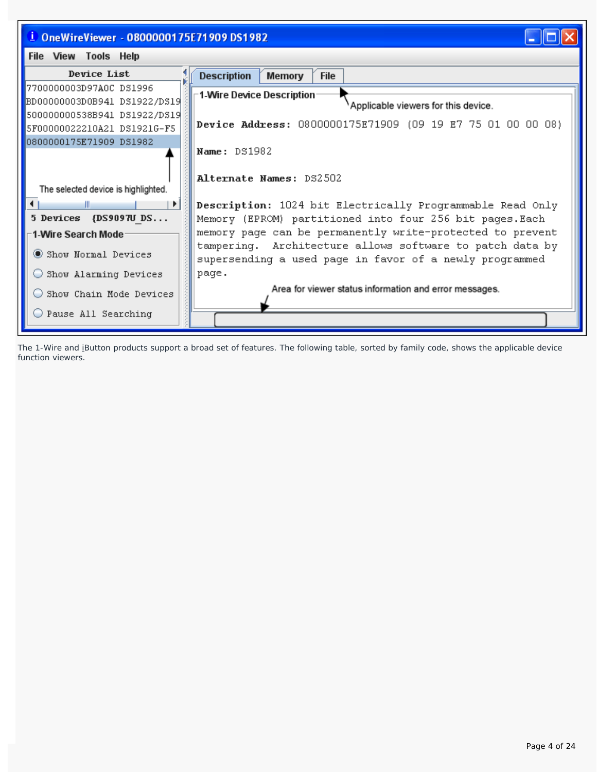

The 1-Wire and iButton products support a broad set of features. The following table, sorted by family code, shows the applicable device function viewers.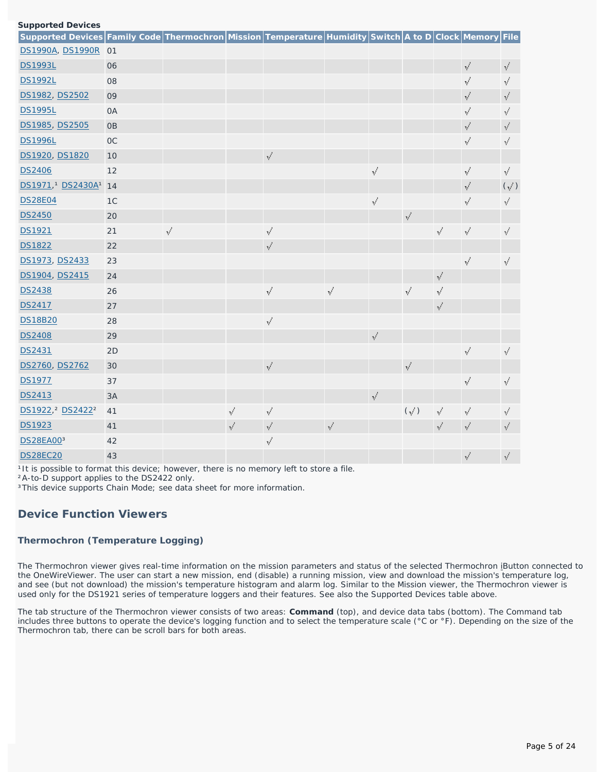|  | <b>Supported Devices</b> |
|--|--------------------------|
|  |                          |

| ------<br>Supported Devices Family Code Thermochron Mission Temperature Humidity Switch A to D Clock Memory File |                |            |            |            |            |            |               |            |            |               |
|------------------------------------------------------------------------------------------------------------------|----------------|------------|------------|------------|------------|------------|---------------|------------|------------|---------------|
| DS1990A, DS1990R 01                                                                                              |                |            |            |            |            |            |               |            |            |               |
| <b>DS1993L</b>                                                                                                   | 06             |            |            |            |            |            |               |            | $\sqrt{}$  | √             |
| <b>DS1992L</b>                                                                                                   | 08             |            |            |            |            |            |               |            | $\sqrt{ }$ | √             |
| DS1982, DS2502                                                                                                   | 09             |            |            |            |            |            |               |            | $\sqrt{ }$ | √             |
| <b>DS1995L</b>                                                                                                   | <b>OA</b>      |            |            |            |            |            |               |            | √          | √             |
| DS1985, DS2505                                                                                                   | <b>OB</b>      |            |            |            |            |            |               |            | $\sqrt{ }$ | √             |
| <b>DS1996L</b>                                                                                                   | <b>OC</b>      |            |            |            |            |            |               |            | √          | √             |
| DS1920, DS1820                                                                                                   | 10             |            |            | $\sqrt{ }$ |            |            |               |            |            |               |
| <b>DS2406</b>                                                                                                    | 12             |            |            |            |            | √          |               |            | $\sqrt{}$  | $\checkmark$  |
| DS1971, <sup>1</sup> DS2430A <sup>1</sup> 14                                                                     |                |            |            |            |            |            |               |            | $\sqrt{ }$ | $(\sqrt{ } )$ |
| <b>DS28E04</b>                                                                                                   | 1 <sup>C</sup> |            |            |            |            | $\sqrt{ }$ |               |            | √          | √             |
| <b>DS2450</b>                                                                                                    | 20             |            |            |            |            |            | $\sqrt{ }$    |            |            |               |
| DS1921                                                                                                           | 21             | $\sqrt{ }$ |            | $\sqrt{ }$ |            |            |               | $\sqrt{ }$ | $\sqrt{ }$ | √             |
| <b>DS1822</b>                                                                                                    | 22             |            |            | √          |            |            |               |            |            |               |
| DS1973, DS2433                                                                                                   | 23             |            |            |            |            |            |               |            | $\sqrt{ }$ | $\sqrt{ }$    |
| DS1904, DS2415                                                                                                   | 24             |            |            |            |            |            |               | $\sqrt{ }$ |            |               |
| <b>DS2438</b>                                                                                                    | 26             |            |            | √          | √          |            | √             | √          |            |               |
| <b>DS2417</b>                                                                                                    | 27             |            |            |            |            |            |               | $\sqrt{ }$ |            |               |
| <b>DS18B20</b>                                                                                                   | 28             |            |            | √          |            |            |               |            |            |               |
| <b>DS2408</b>                                                                                                    | 29             |            |            |            |            | $\sqrt{ }$ |               |            |            |               |
| DS2431                                                                                                           | 2D             |            |            |            |            |            |               |            | √          | √             |
| DS2760, DS2762                                                                                                   | 30             |            |            | $\sqrt{ }$ |            |            | $\sqrt{ }$    |            |            |               |
| <b>DS1977</b>                                                                                                    | 37             |            |            |            |            |            |               |            | $\sqrt{ }$ | √             |
| DS2413                                                                                                           | 3A             |            |            |            |            | $\sqrt{}$  |               |            |            |               |
| DS1922, <sup>2</sup> DS2422 <sup>2</sup>                                                                         | 41             |            | $\sqrt{ }$ | $\sqrt{ }$ |            |            | $(\sqrt{ } )$ | $\sqrt{ }$ | √          | √             |
| <b>DS1923</b>                                                                                                    | 41             |            | √          | $\sqrt{ }$ | $\sqrt{ }$ |            |               | $\sqrt{}$  | √          | √             |
| DS28EA003                                                                                                        | 42             |            |            | $\sqrt{ }$ |            |            |               |            |            |               |
| <b>DS28EC20</b>                                                                                                  | 43             |            |            |            |            |            |               |            | √          | √             |

<sup>1</sup>It is possible to format this device; however, there is no memory left to store a file.

²A-to-D support applies to the DS2422 only.

<sup>3</sup>This device supports Chain Mode; see data sheet for more information.

## **Device Function Viewers**

## **Thermochron (Temperature Logging)**

The Thermochron viewer gives real-time information on the mission parameters and status of the selected Thermochron iButton connected to the OneWireViewer. The user can start a new mission, end (disable) a running mission, view and download the mission's temperature log, and see (but not download) the mission's temperature histogram and alarm log. Similar to the Mission viewer, the Thermochron viewer is used only for the DS1921 series of temperature loggers and their features. See also the *Supported Devices* table above.

The tab structure of the Thermochron viewer consists of two areas: **Command** (top), and device data tabs (bottom). The Command tab includes three buttons to operate the device's logging function and to select the temperature scale (°C or °F). Depending on the size of the Thermochron tab, there can be scroll bars for both areas.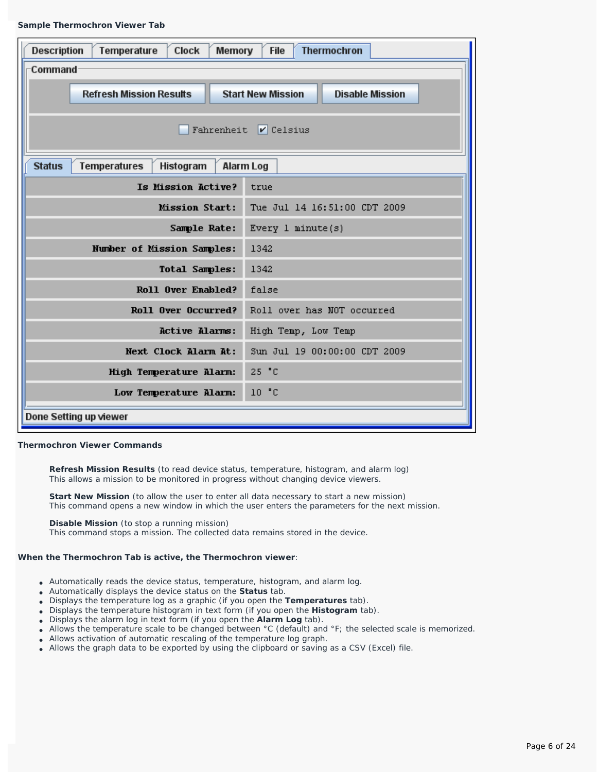#### **Sample Thermochron Viewer Tab**

| Temperature<br><b>Clock</b><br><b>Thermochron</b><br><b>Description</b><br><b>File</b><br>Memory |                                                    |  |  |  |  |  |  |
|--------------------------------------------------------------------------------------------------|----------------------------------------------------|--|--|--|--|--|--|
| <b>Command</b>                                                                                   |                                                    |  |  |  |  |  |  |
| <b>Refresh Mission Results</b>                                                                   | <b>Start New Mission</b><br><b>Disable Mission</b> |  |  |  |  |  |  |
|                                                                                                  |                                                    |  |  |  |  |  |  |
|                                                                                                  | Fahrenheit $\triangledown$ Celsius                 |  |  |  |  |  |  |
| <b>Status</b><br><b>Temperatures</b><br>Histogram                                                | <b>Alarm Log</b>                                   |  |  |  |  |  |  |
| Is Mission Active?<br>true                                                                       |                                                    |  |  |  |  |  |  |
| <b>Mission Start:</b>                                                                            | Tue Jul 14 16:51:00 CDT 2009                       |  |  |  |  |  |  |
| Sample Rate:                                                                                     | Every $1$ minute( $3$ )                            |  |  |  |  |  |  |
| Number of Mission Samples:                                                                       | 1342                                               |  |  |  |  |  |  |
| <b>Total Samples:</b>                                                                            | 1342                                               |  |  |  |  |  |  |
| Roll Over Enabled?                                                                               | false                                              |  |  |  |  |  |  |
| Roll Over Occurred?                                                                              | Roll over has NOT occurred                         |  |  |  |  |  |  |
| <b>Active Alarms:</b>                                                                            | High Temp, Low Temp                                |  |  |  |  |  |  |
| Next Clock Alarm At:                                                                             | Sun Jul 19 00:00:00 CDT 2009                       |  |  |  |  |  |  |
| 25 °C<br>High Temperature Alarm:                                                                 |                                                    |  |  |  |  |  |  |
| Low Temperature Alarm:                                                                           | 10 <sup>o</sup> C                                  |  |  |  |  |  |  |
| Done Setting up viewer                                                                           |                                                    |  |  |  |  |  |  |

#### **Thermochron Viewer Commands**

**Refresh Mission Results** (to read device status, temperature, histogram, and alarm log) This allows a mission to be monitored in progress without changing device viewers.

**Start New Mission** (to allow the user to enter all data necessary to start a new mission) This command opens a new window in which the user enters the parameters for the next mission.

**Disable Mission** (to stop a running mission)

This command stops a mission. The collected data remains stored in the device.

## **When the Thermochron Tab is active, the Thermochron viewer**:

- Automatically reads the device status, temperature, histogram, and alarm log.
- Automatically displays the device status on the **Status** tab.
- Displays the temperature log as a graphic (if you open the **Temperatures** tab).
- Displays the temperature histogram in text form (if you open the **Histogram** tab).
- Displays the alarm log in text form (if you open the **Alarm Log** tab).
- Allows the temperature scale to be changed between °C (default) and °F; the selected scale is memorized.
- Allows activation of automatic rescaling of the temperature log graph.
- Allows the graph data to be exported by using the clipboard or saving as a CSV (Excel) file.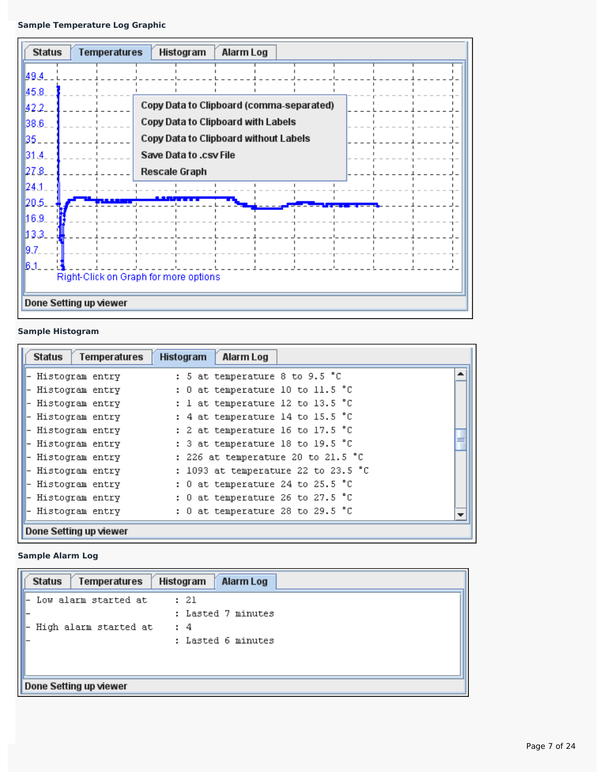| <b>Status</b>                         | <b>Temperatures</b>    | Histogram                                | Alarm Log |  |  |  |  |
|---------------------------------------|------------------------|------------------------------------------|-----------|--|--|--|--|
| 49.4_                                 |                        |                                          |           |  |  |  |  |
| 45.8.                                 |                        |                                          |           |  |  |  |  |
| 42.2.                                 |                        | Copy Data to Clipboard (comma-separated) |           |  |  |  |  |
| 38.6                                  |                        | Copy Data to Clipboard with Labels       |           |  |  |  |  |
| 35.                                   |                        | Copy Data to Clipboard without Labels    |           |  |  |  |  |
| 31.4.                                 |                        | Save Data to .csv File                   |           |  |  |  |  |
| 27.8.                                 |                        | Rescale Graph                            |           |  |  |  |  |
| $\vert$ 24.1                          |                        |                                          |           |  |  |  |  |
| 120.5.                                |                        |                                          |           |  |  |  |  |
| 16.9.                                 |                        |                                          |           |  |  |  |  |
| l13.3.                                |                        |                                          |           |  |  |  |  |
| 9.7.                                  |                        |                                          |           |  |  |  |  |
| 61.                                   |                        |                                          |           |  |  |  |  |
| Right-Click on Graph for more options |                        |                                          |           |  |  |  |  |
|                                       | Done Setting up viewer |                                          |           |  |  |  |  |

## **Sample Histogram**

| <b>Status</b><br>Temperatures | Alarm Log<br><b>Histogram</b>       |   |
|-------------------------------|-------------------------------------|---|
| Histogram entry               | : 5 at temperature 8 to 9.5 °C      | ᆂ |
| Histogram entry               | : 0 at temperature 10 to 11.5 °C    |   |
| Histogram entry               | : 1 at temperature 12 to 13.5 °C    |   |
| Histogram entry               | : 4 at temperature 14 to 15.5 °C    |   |
| Histogram entry               | : 2 at temperature 16 to 17.5 °C    |   |
| Histogram entry               | : 3 at temperature 18 to 19.5 °C    |   |
| Histogram entry               | : 226 at temperature 20 to 21.5 °C  |   |
| Histogram entry               | : 1093 at temperature 22 to 23.5 °C |   |
| Histogram entry               | : 0 at temperature 24 to 25.5 °C    |   |
| Histogram entry               | : 0 at temperature 26 to 27.5 °C    |   |
| Histogram entry               | : 0 at temperature 28 to 29.5 °C    |   |
| Done Setting up viewer        |                                     |   |

## **Sample Alarm Log**

| Temperatures<br>Histogram<br><b>Status</b><br><b>Alarm Log</b> |  |
|----------------------------------------------------------------|--|
| Low alarm started at<br>: 21                                   |  |
| : Lasted 7 minutes                                             |  |
| High alarm started at<br>: 4                                   |  |
| : Lasted 6 minutes                                             |  |
|                                                                |  |
|                                                                |  |
| Done Setting up viewer                                         |  |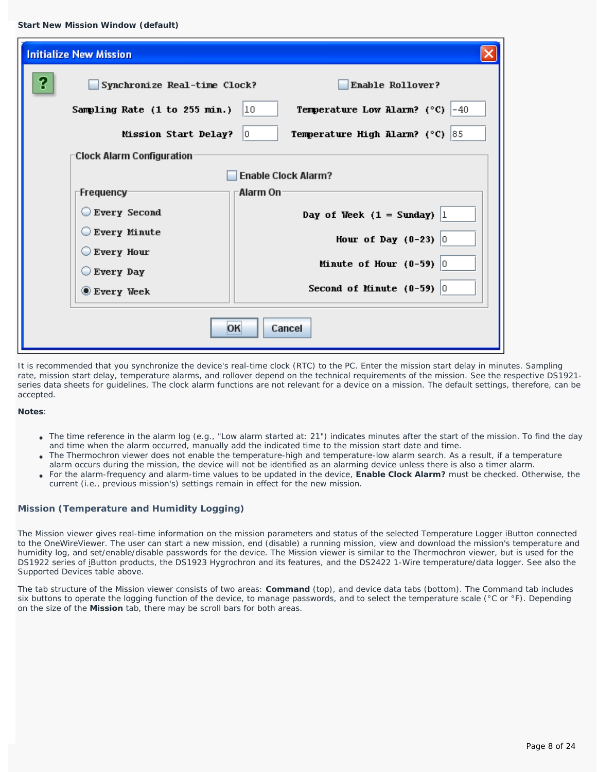| <b>Initialize New Mission</b>                 |                                                              |
|-----------------------------------------------|--------------------------------------------------------------|
| 2<br>Synchronize Real-time Clock?             | Enable Rollover?                                             |
| Sampling Rate (1 to 255 min.)                 | <b>Temperature Low Alarm?</b> (°C) $ -40$<br>10              |
| Mission Start Delay?                          | <b>Temperature High Alarm?</b> ( $^{\circ}$ C) $ 85 $<br>10. |
| <b>Clock Alarm Configuration</b>              |                                                              |
|                                               | <b>Enable Clock Alarm?</b>                                   |
| ⊤Frequency⊤                                   | Alarm On                                                     |
| Every Second                                  | Day of Week $(1 = Sunday)$ 1                                 |
| Every Minute                                  | Hour of Day $(0-23)$ 0                                       |
| $\bigcirc$ Every Hour<br>$\bigcirc$ Every Day | Minute of Hour $(0-59)$ 0                                    |
| $\bullet$ Every Week                          | Second of Minute $(0-59)$ 0                                  |
|                                               | Cancel<br>OK                                                 |

It is recommended that you synchronize the device's real-time clock (RTC) to the PC. Enter the mission start delay in minutes. Sampling rate, mission start delay, temperature alarms, and rollover depend on the technical requirements of the mission. See the respective DS1921 series data sheets for guidelines. The clock alarm functions are not relevant for a device on a mission. The default settings, therefore, can be accepted.

#### **Notes**:

- The time reference in the alarm log (e.g., "Low alarm started at: 21") indicates minutes after the start of the mission. To find the day and time when the alarm occurred, manually add the indicated time to the mission start date and time.
- The Thermochron viewer does not enable the temperature-high and temperature-low alarm search. As a result, if a temperature alarm occurs during the mission, the device will not be identified as an alarming device unless there is also a timer alarm.
- For the alarm-frequency and alarm-time values to be updated in the device, **Enable Clock Alarm?** must be checked. Otherwise, the current (i.e., previous mission's) settings remain in effect for the new mission.

## **Mission (Temperature and Humidity Logging)**

The Mission viewer gives real-time information on the mission parameters and status of the selected Temperature Logger iButton connected to the OneWireViewer. The user can start a new mission, end (disable) a running mission, view and download the mission's temperature and humidity log, and set/enable/disable passwords for the device. The Mission viewer is similar to the Thermochron viewer, but is used for the DS1922 series of iButton products, the DS1923 Hygrochron and its features, and the DS2422 1-Wire temperature/data logger. See also the *Supported Devices* table above.

The tab structure of the Mission viewer consists of two areas: **Command** (top), and device data tabs (bottom). The Command tab includes six buttons to operate the logging function of the device, to manage passwords, and to select the temperature scale (°C or °F). Depending on the size of the **Mission** tab, there may be scroll bars for both areas.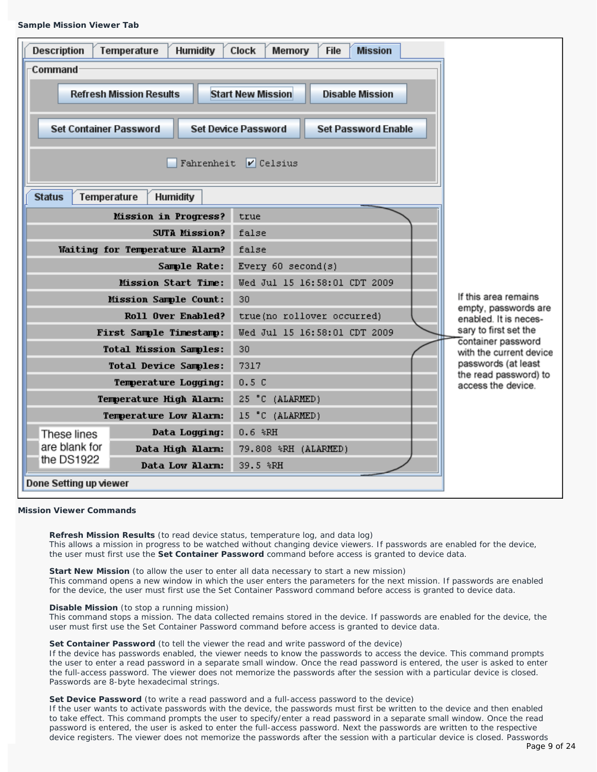#### **Sample Mission Viewer Tab**

| <b>Description</b><br>Humidity<br>Temperature<br><b>Clock</b><br><b>Mission</b><br>Memory<br><b>File</b><br><b>Command</b><br><b>Start New Mission</b><br><b>Refresh Mission Results</b><br><b>Disable Mission</b> |                                |                                                          |                                              |  |  |  |  |
|--------------------------------------------------------------------------------------------------------------------------------------------------------------------------------------------------------------------|--------------------------------|----------------------------------------------------------|----------------------------------------------|--|--|--|--|
| <b>Set Container Password</b>                                                                                                                                                                                      |                                | <b>Set Device Password</b><br><b>Set Password Enable</b> |                                              |  |  |  |  |
|                                                                                                                                                                                                                    | Fahrenheit<br>$ V $ Celsius    |                                                          |                                              |  |  |  |  |
| Temperature<br><b>Status</b>                                                                                                                                                                                       | <b>Humidity</b>                |                                                          |                                              |  |  |  |  |
|                                                                                                                                                                                                                    | Mission in Progress?           | true                                                     |                                              |  |  |  |  |
|                                                                                                                                                                                                                    | <b>SUTA Mission?</b>           | false                                                    |                                              |  |  |  |  |
|                                                                                                                                                                                                                    | Waiting for Temperature Alarm? | false                                                    |                                              |  |  |  |  |
|                                                                                                                                                                                                                    | Sample Rate:                   | Every $60$ second(s)                                     |                                              |  |  |  |  |
|                                                                                                                                                                                                                    | <b>Mission Start Time:</b>     | Wed Jul 15 16:58:01 CDT 2009                             |                                              |  |  |  |  |
|                                                                                                                                                                                                                    | Mission Sample Count:          | 30                                                       | If this area remains<br>empty, passwords are |  |  |  |  |
|                                                                                                                                                                                                                    | Roll Over Enabled?             | true(no rollover occurred)                               | enabled. It is neces-                        |  |  |  |  |
|                                                                                                                                                                                                                    | First Sample Timestamp:        | Wed Jul 15 16:58:01 CDT 2009                             | sary to first set the<br>container password  |  |  |  |  |
|                                                                                                                                                                                                                    | <b>Total Mission Samples:</b>  | 30                                                       | with the current device                      |  |  |  |  |
|                                                                                                                                                                                                                    | <b>Total Device Samples:</b>   | 7317                                                     | passwords (at least<br>the read password) to |  |  |  |  |
| Temperature Logging:                                                                                                                                                                                               |                                | 0.5C                                                     | access the device.                           |  |  |  |  |
| Temperature High Alarm:                                                                                                                                                                                            |                                | 25 °C (ALARMED)                                          |                                              |  |  |  |  |
|                                                                                                                                                                                                                    | Temperature Low Alarm:         | 15 °C (ALARMED)                                          |                                              |  |  |  |  |
| These lines                                                                                                                                                                                                        | Data Logging:                  | $0.6$ $R$ H                                              |                                              |  |  |  |  |
| are blank for<br>Data High Alarm:<br>the DS1922                                                                                                                                                                    |                                | 79.808 %RH (ALARMED)                                     |                                              |  |  |  |  |
|                                                                                                                                                                                                                    | Data Low Alarm:                | 39.5 %RH                                                 |                                              |  |  |  |  |
| Done Setting up viewer                                                                                                                                                                                             |                                |                                                          |                                              |  |  |  |  |

### **Mission Viewer Commands**

**Refresh Mission Results** (to read device status, temperature log, and data log) This allows a mission in progress to be watched without changing device viewers. If passwords are enabled for the device, the user must first use the **Set Container Password** command before access is granted to device data.

**Start New Mission** (to allow the user to enter all data necessary to start a new mission) This command opens a new window in which the user enters the parameters for the next mission. If passwords are enabled for the device, the user must first use the Set Container Password command before access is granted to device data.

#### **Disable Mission** (to stop a running mission)

This command stops a mission. The data collected remains stored in the device. If passwords are enabled for the device, the user must first use the Set Container Password command before access is granted to device data.

#### Set Container Password (to tell the viewer the read and write password of the device)

If the device has passwords enabled, the viewer needs to know the passwords to access the device. This command prompts the user to enter a read password in a separate small window. Once the read password is entered, the user is asked to enter the full-access password. The viewer does not memorize the passwords after the session with a particular device is closed. Passwords are 8-byte hexadecimal strings.

#### **Set Device Password** (to write a read password and a full-access password to the device)

If the user wants to activate passwords with the device, the passwords must first be written to the device and then enabled to take effect. This command prompts the user to specify/enter a read password in a separate small window. Once the read password is entered, the user is asked to enter the full-access password. Next the passwords are written to the respective device registers. The viewer does not memorize the passwords after the session with a particular device is closed. Passwords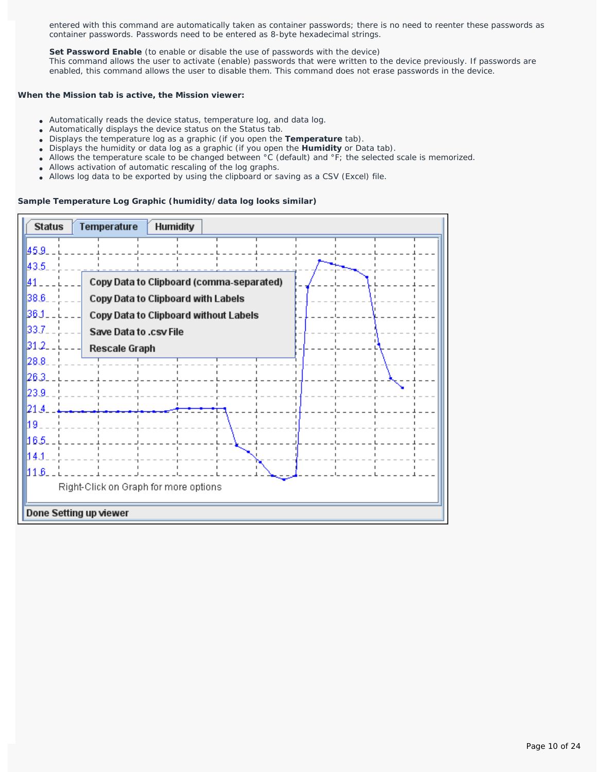entered with this command are automatically taken as container passwords; there is no need to reenter these passwords as container passwords. Passwords need to be entered as 8-byte hexadecimal strings.

Set Password Enable (to enable or disable the use of passwords with the device) This command allows the user to activate (enable) passwords that were written to the device previously. If passwords are enabled, this command allows the user to disable them. This command does not erase passwords in the device.

## **When the Mission tab is active, the Mission viewer:**

- Automatically reads the device status, temperature log, and data log.
- Automatically displays the device status on the Status tab.
- Displays the temperature log as a graphic (if you open the **Temperature** tab).
- Displays the humidity or data log as a graphic (if you open the **Humidity** or Data tab).
- Allows the temperature scale to be changed between °C (default) and °F; the selected scale is memorized.
- Allows activation of automatic rescaling of the log graphs.
- Allows log data to be exported by using the clipboard or saving as a CSV (Excel) file.

## **Sample Temperature Log Graphic (humidity/data log looks similar)**

| <b>Status</b>          | Temperature<br><b>Humidity</b>           |  |
|------------------------|------------------------------------------|--|
| 145.9.                 |                                          |  |
| 43.5.                  |                                          |  |
| 141.                   | Copy Data to Clipboard (comma-separated) |  |
| 38.6.                  | Copy Data to Clipboard with Labels       |  |
| 36.1                   | Copy Data to Clipboard without Labels    |  |
| 33.7.                  | Save Data to .csv File                   |  |
| 31.2.                  | Rescale Graph                            |  |
| 28.8.                  |                                          |  |
| 26.3.                  |                                          |  |
| 23.9.                  |                                          |  |
| I21.4.                 |                                          |  |
| 19.                    |                                          |  |
| 16.5.                  |                                          |  |
| 14.1                   |                                          |  |
| 11.B_                  |                                          |  |
|                        | Right-Click on Graph for more options    |  |
| Done Setting up viewer |                                          |  |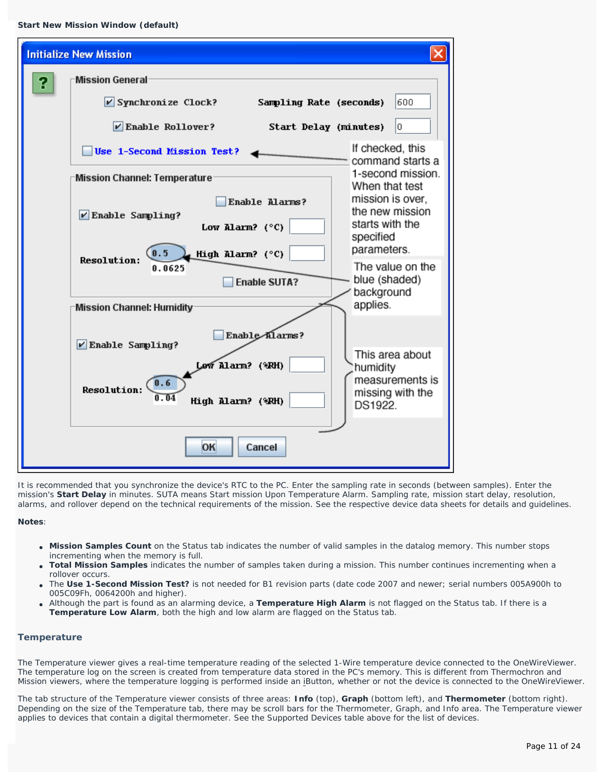```
Start New Mission Window (default)
```

|   | <b>Initialize New Mission</b>                                           |                                                |
|---|-------------------------------------------------------------------------|------------------------------------------------|
| ? | Mission General:                                                        |                                                |
|   | $\nu$ Synchronize Clock?<br>Sampling Rate (seconds)                     | 600                                            |
|   | $\nu$ Enable Rollover?<br>Start Delay (minutes)                         | lo.                                            |
|   | Use 1-Second Mission Test?                                              | If checked, this<br>command starts a           |
|   | Mission Channel: Temperature                                            | 1-second mission.<br>When that test            |
|   | Enable Alarms?<br>$V$ Enable Sampling?                                  | mission is over,<br>the new mission            |
|   | Low Alarm? $(^{\circ}C)$                                                | starts with the<br>specified                   |
|   | High Alarm? (°C)<br>$\left( 0.5\right)$<br><b>Resolution:</b><br>0.0625 | parameters.<br>The value on the                |
|   | <b>Enable SUTA?</b>                                                     | blue (shaded)<br>background                    |
|   | <b>Mission Channel: Humidity</b>                                        | applies.                                       |
|   | Enable Alarms?<br>$V$ Enable Sampling?                                  |                                                |
|   | Lew Alarm? (*RH)                                                        | This area about<br>humidity<br>measurements is |
|   | 0.6<br><b>Resolution:</b><br>0.04<br>High Alarm? (%RH)                  | missing with the<br>DS1922.                    |
|   | OK<br>Cancel                                                            |                                                |

It is recommended that you synchronize the device's RTC to the PC. Enter the sampling rate in seconds (between samples). Enter the mission's **Start Delay** in minutes. SUTA means Start mission Upon Temperature Alarm. Sampling rate, mission start delay, resolution, alarms, and rollover depend on the technical requirements of the mission. See the respective device data sheets for details and guidelines.

**Notes**:

- Mission Samples Count on the Status tab indicates the number of valid samples in the datalog memory. This number stops incrementing when the memory is full.
- **Total Mission Samples** indicates the number of samples taken during a mission. This number continues incrementing when a rollover occurs.
- The **Use 1-Second Mission Test?** is not needed for B1 revision parts (date code 2007 and newer; serial numbers 005A900h to 005C09Fh, 0064200h and higher).
- Although the part is found as an alarming device, a **Temperature High Alarm** is not flagged on the Status tab. If there is a **Temperature Low Alarm**, both the high and low alarm are flagged on the Status tab.

## **Temperature**

The Temperature viewer gives a real-time temperature reading of the selected 1-Wire temperature device connected to the OneWireViewer. The temperature log on the screen is created from temperature data stored in the PC's memory. This is different from Thermochron and Mission viewers, where the temperature logging is performed inside an iButton, whether or not the device is connected to the OneWireViewer.

The tab structure of the Temperature viewer consists of three areas: **Info** (top), **Graph** (bottom left), and **Thermometer** (bottom right). Depending on the size of the Temperature tab, there may be scroll bars for the Thermometer, Graph, and Info area. The Temperature viewer applies to devices that contain a digital thermometer. See the *Supported Devices* table above for the list of devices.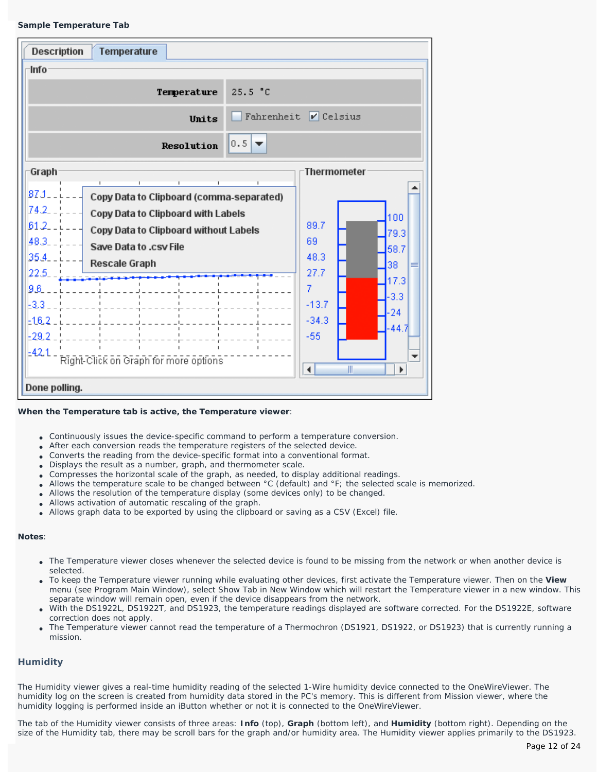### **Sample Temperature Tab**

| ⊤Info<br>Temperature<br>25.5 °C<br>Fahrenheit $\triangledown$ Celsius<br>Units<br>$0.5$ $\rightarrow$<br>Resolution<br><b>Thermometer</b><br>Graph<br>$87J-$<br>Copy Data to Clipboard (comma-separated)<br>74.2<br>Copy Data to Clipboard with Labels<br>100<br>61.2.<br>89.7<br>Copy Data to Clipboard without Labels<br>79.3<br>48.3<br>69<br>Save Data to .csv File<br>58.7<br>35.4<br>48.3<br><b>Rescale Graph</b><br>38<br>27.7<br>22.5<br>17.3<br>$\overline{7}$<br>9.6<br>$-3.3$<br>-3.3<br>$-13.7$<br>$-24$<br>$-34.3$<br>$-16.2$<br>-44.7<br>$-55$<br>$-29.2$<br>$-421$<br>Right-Click on Graph for more options:<br>$\blacktriangleleft$<br>Ш<br>Þ. | <b>Description</b><br>Temperature |  |
|----------------------------------------------------------------------------------------------------------------------------------------------------------------------------------------------------------------------------------------------------------------------------------------------------------------------------------------------------------------------------------------------------------------------------------------------------------------------------------------------------------------------------------------------------------------------------------------------------------------------------------------------------------------|-----------------------------------|--|
|                                                                                                                                                                                                                                                                                                                                                                                                                                                                                                                                                                                                                                                                |                                   |  |
|                                                                                                                                                                                                                                                                                                                                                                                                                                                                                                                                                                                                                                                                |                                   |  |
|                                                                                                                                                                                                                                                                                                                                                                                                                                                                                                                                                                                                                                                                |                                   |  |
|                                                                                                                                                                                                                                                                                                                                                                                                                                                                                                                                                                                                                                                                |                                   |  |
| Done polling.                                                                                                                                                                                                                                                                                                                                                                                                                                                                                                                                                                                                                                                  |                                   |  |

### **When the Temperature tab is active, the Temperature viewer**:

- Continuously issues the device-specific command to perform a temperature conversion.
- After each conversion reads the temperature registers of the selected device.
- Converts the reading from the device-specific format into a conventional format.
- Displays the result as a number, graph, and thermometer scale.
- Compresses the horizontal scale of the graph, as needed, to display additional readings.
- Allows the temperature scale to be changed between °C (default) and °F; the selected scale is memorized.
- Allows the resolution of the temperature display (some devices only) to be changed.
- Allows activation of automatic rescaling of the graph.
- Allows graph data to be exported by using the clipboard or saving as a CSV (Excel) file.

#### **Notes**:

- The Temperature viewer closes whenever the selected device is found to be missing from the network or when another device is selected.
- To keep the Temperature viewer running while evaluating other devices, first activate the Temperature viewer. Then on the **View** menu (see *Program Main Window*), select Show Tab in New Window which will restart the Temperature viewer in a new window. This separate window will remain open, even if the device disappears from the network.
- With the DS1922L, DS1922T, and DS1923, the temperature readings displayed are software corrected. For the DS1922E, software correction does not apply.
- The Temperature viewer cannot read the temperature of a Thermochron (DS1921, DS1922, or DS1923) that is currently running a mission.

### **Humidity**

The Humidity viewer gives a real-time humidity reading of the selected 1-Wire humidity device connected to the OneWireViewer. The humidity log on the screen is created from humidity data stored in the PC's memory. This is different from Mission viewer, where the humidity logging is performed inside an iButton whether or not it is connected to the OneWireViewer.

The tab of the Humidity viewer consists of three areas: **Info** (top), **Graph** (bottom left), and **Humidity** (bottom right). Depending on the size of the Humidity tab, there may be scroll bars for the graph and/or humidity area. The Humidity viewer applies primarily to the DS1923.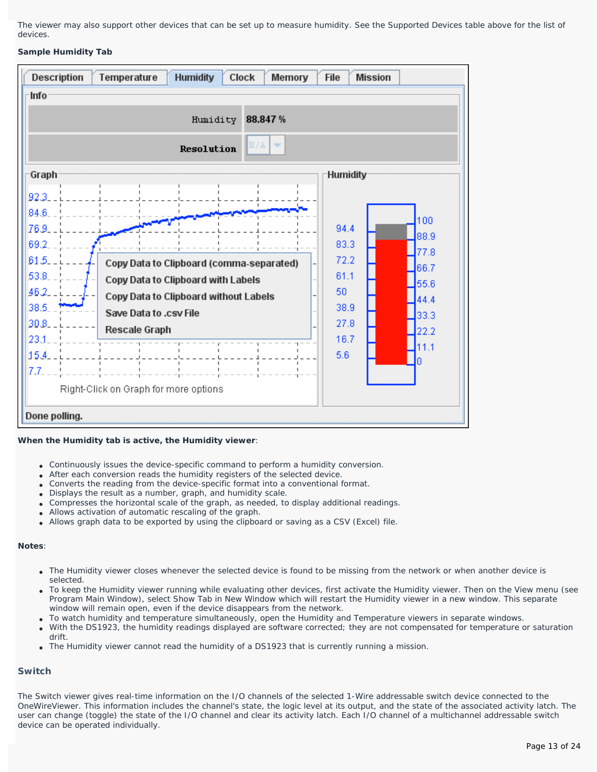The viewer may also support other devices that can be set up to measure humidity. See the *Supported Devices* table above for the list of devices.

### **Sample Humidity Tab**



### **When the Humidity tab is active, the Humidity viewer**:

- Continuously issues the device-specific command to perform a humidity conversion.
- After each conversion reads the humidity registers of the selected device.
- Converts the reading from the device-specific format into a conventional format.
- Displays the result as a number, graph, and humidity scale.
- Compresses the horizontal scale of the graph, as needed, to display additional readings.
- Allows activation of automatic rescaling of the graph.
- Allows graph data to be exported by using the clipboard or saving as a CSV (Excel) file.

## **Notes**:

- The Humidity viewer closes whenever the selected device is found to be missing from the network or when another device is selected.
- To keep the Humidity viewer running while evaluating other devices, first activate the Humidity viewer. Then on the View menu (see *Program Main Window*), select Show Tab in New Window which will restart the Humidity viewer in a new window. This separate window will remain open, even if the device disappears from the network.
- To watch humidity and temperature simultaneously, open the Humidity and Temperature viewers in separate windows.
- With the DS1923, the humidity readings displayed are software corrected; they are not compensated for temperature or saturation drift.
- The Humidity viewer cannot read the humidity of a DS1923 that is currently running a mission.

## **Switch**

The Switch viewer gives real-time information on the I/O channels of the selected 1-Wire addressable switch device connected to the OneWireViewer. This information includes the channel's state, the logic level at its output, and the state of the associated activity latch. The user can change (toggle) the state of the I/O channel and clear its activity latch. Each I/O channel of a multichannel addressable switch device can be operated individually.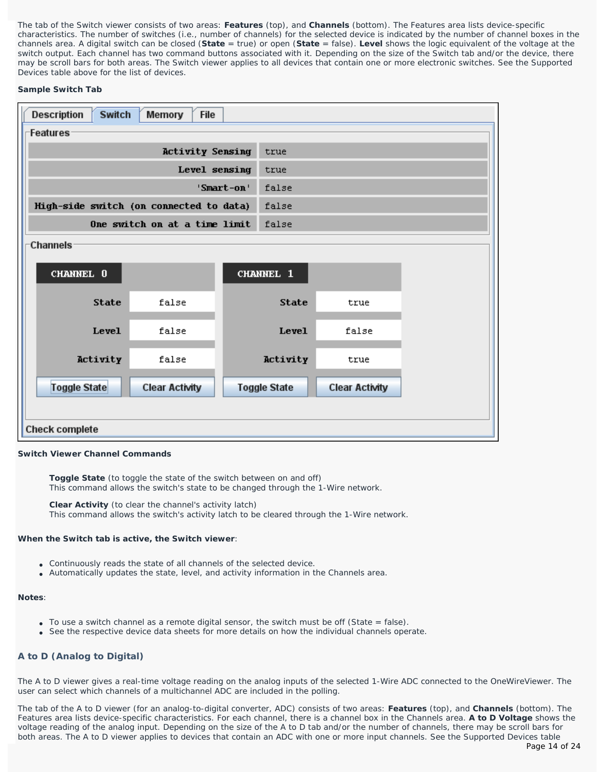The tab of the Switch viewer consists of two areas: **Features** (top), and **Channels** (bottom). The Features area lists device-specific characteristics. The number of switches (i.e., number of channels) for the selected device is indicated by the number of channel boxes in the channels area. A digital switch can be closed (**State** = true) or open (**State** = false). **Level** shows the logic equivalent of the voltage at the switch output. Each channel has two command buttons associated with it. Depending on the size of the Switch tab and/or the device, there may be scroll bars for both areas. The Switch viewer applies to all devices that contain one or more electronic switches. See the *Supported Devices* table above for the list of devices.

## **Sample Switch Tab**

| <b>Switch</b><br><b>Description</b>     | Memory<br><b>File</b>         |            |                     |                       |  |
|-----------------------------------------|-------------------------------|------------|---------------------|-----------------------|--|
| Features                                |                               |            |                     |                       |  |
|                                         | <b>Activity Sensing</b>       |            | true                |                       |  |
|                                         | Level sensing                 |            | true                |                       |  |
|                                         |                               | 'Smart-on' | false               |                       |  |
| High-side switch (on connected to data) |                               |            | false               |                       |  |
|                                         | One switch on at a time limit |            | false               |                       |  |
| <b>Channels</b>                         |                               |            |                     |                       |  |
|                                         |                               |            |                     |                       |  |
| CHANNEL 0                               |                               |            | <b>CHANNEL 1</b>    |                       |  |
| <b>State</b>                            | false                         |            | <b>State</b>        | true                  |  |
| Level                                   | false                         |            | Level               | false                 |  |
| Activity                                | false                         |            | Activity            | true                  |  |
| Toggle State                            | <b>Clear Activity</b>         |            | <b>Toggle State</b> | <b>Clear Activity</b> |  |
|                                         |                               |            |                     |                       |  |
| <b>Check complete</b>                   |                               |            |                     |                       |  |

### **Switch Viewer Channel Commands**

**Toggle State** (to toggle the state of the switch between on and off) This command allows the switch's state to be changed through the 1-Wire network.

**Clear Activity** (to clear the channel's activity latch) This command allows the switch's activity latch to be cleared through the 1-Wire network.

### **When the Switch tab is active, the Switch viewer**:

- Continuously reads the state of all channels of the selected device.
- Automatically updates the state, level, and activity information in the Channels area.

#### **Notes**:

- $\bullet$  To use a switch channel as a remote digital sensor, the switch must be off (State = false).
- See the respective device data sheets for more details on how the individual channels operate.

## **A to D (Analog to Digital)**

The A to D viewer gives a real-time voltage reading on the analog inputs of the selected 1-Wire ADC connected to the OneWireViewer. The user can select which channels of a multichannel ADC are included in the polling.

The tab of the A to D viewer (for an analog-to-digital converter, ADC) consists of two areas: **Features** (top), and **Channels** (bottom). The Features area lists device-specific characteristics. For each channel, there is a channel box in the Channels area. **A to D Voltage** shows the voltage reading of the analog input. Depending on the size of the A to D tab and/or the number of channels, there may be scroll bars for both areas. The A to D viewer applies to devices that contain an ADC with one or more input channels. See the *Supported Devices* table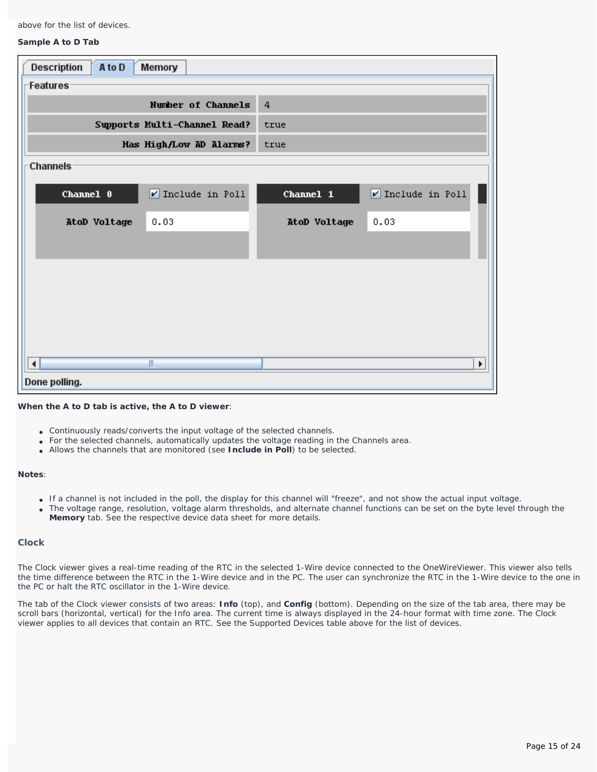above for the list of devices.

#### **Sample A to D Tab**

| <b>Description</b><br>A to D<br>Memory        |                                              |
|-----------------------------------------------|----------------------------------------------|
| Features                                      |                                              |
| Number of Channels                            | 4                                            |
| Supports Multi-Channel Read?                  | true                                         |
| Has High/Low AD Alarms?                       | true                                         |
| Channels                                      |                                              |
| $\nu$ Include in Poll<br>Channel 0            | $\triangledown$ Include in Poll<br>Channel 1 |
| 0.03<br>AtoD Voltage                          | 0.03<br>AtoD Voltage                         |
|                                               |                                              |
|                                               |                                              |
|                                               |                                              |
|                                               |                                              |
|                                               |                                              |
| $\parallel \parallel$<br>$\blacktriangleleft$ | $\blacktriangleright$                        |
| Done polling.                                 |                                              |

### **When the A to D tab is active, the A to D viewer**:

- Continuously reads/converts the input voltage of the selected channels.
- For the selected channels, automatically updates the voltage reading in the Channels area.
- Allows the channels that are monitored (see **Include in Poll**) to be selected.

#### **Notes**:

- If a channel is not included in the poll, the display for this channel will "freeze", and not show the actual input voltage.
- The voltage range, resolution, voltage alarm thresholds, and alternate channel functions can be set on the byte level through the **Memory** tab. See the respective device data sheet for more details.

### **Clock**

The Clock viewer gives a real-time reading of the RTC in the selected 1-Wire device connected to the OneWireViewer. This viewer also tells the time difference between the RTC in the 1-Wire device and in the PC. The user can synchronize the RTC in the 1-Wire device to the one in the PC or halt the RTC oscillator in the 1-Wire device.

The tab of the Clock viewer consists of two areas: **Info** (top), and **Config** (bottom). Depending on the size of the tab area, there may be scroll bars (horizontal, vertical) for the Info area. The current time is always displayed in the 24-hour format with time zone. The Clock viewer applies to all devices that contain an RTC. See the *Supported Devices* table above for the list of devices.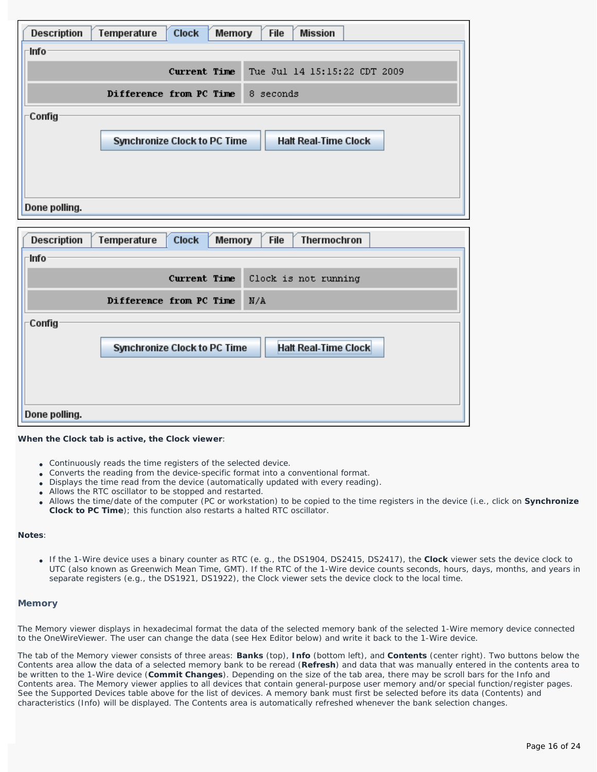| <b>Description</b> | Temperature | <b>Clock</b>                        | <b>File</b><br><b>Mission</b><br>Memory |
|--------------------|-------------|-------------------------------------|-----------------------------------------|
| -Info·             |             |                                     |                                         |
|                    |             | Current Time                        | Tue Jul 14 15:15:22 CDT 2009            |
|                    |             | Difference from PC Time             | 8 seconds                               |
| Config             |             |                                     |                                         |
|                    |             | <b>Synchronize Clock to PC Time</b> | <b>Halt Real-Time Clock</b>             |
|                    |             |                                     |                                         |
|                    |             |                                     |                                         |
|                    |             |                                     |                                         |
| Done polling.      |             |                                     |                                         |

| <b>Description</b> | <b>Clock</b><br>File<br>Temperature<br><b>Memory</b><br>Thermochron |
|--------------------|---------------------------------------------------------------------|
| -Info              |                                                                     |
|                    | Current Time<br>Clock is not running                                |
|                    | Difference from PC Time<br>N/A                                      |
| Config             |                                                                     |
|                    | <b>Halt Real-Time Clock</b><br><b>Synchronize Clock to PC Time</b>  |
|                    |                                                                     |
|                    |                                                                     |
|                    |                                                                     |
| Done polling.      |                                                                     |

### **When the Clock tab is active, the Clock viewer**:

- Continuously reads the time registers of the selected device.
- Converts the reading from the device-specific format into a conventional format.
- Displays the time read from the device (automatically updated with every reading).
- Allows the RTC oscillator to be stopped and restarted.
- Allows the time/date of the computer (PC or workstation) to be copied to the time registers in the device (i.e., click on **Synchronize Clock to PC Time**); this function also restarts a halted RTC oscillator.

#### **Notes**:

● If the 1-Wire device uses a binary counter as RTC (e. g., the DS1904, DS2415, DS2417), the **Clock** viewer sets the device clock to UTC (also known as Greenwich Mean Time, GMT). If the RTC of the 1-Wire device counts seconds, hours, days, months, and years in separate registers (e.g., the DS1921, DS1922), the Clock viewer sets the device clock to the local time.

#### **Memory**

The Memory viewer displays in hexadecimal format the data of the selected memory bank of the selected 1-Wire memory device connected to the OneWireViewer. The user can change the data (see *Hex Editor* below) and write it back to the 1-Wire device.

The tab of the Memory viewer consists of three areas: **Banks** (top), **Info** (bottom left), and **Contents** (center right). Two buttons below the Contents area allow the data of a selected memory bank to be reread (**Refresh**) and data that was manually entered in the contents area to be written to the 1-Wire device (**Commit Changes**). Depending on the size of the tab area, there may be scroll bars for the Info and Contents area. The Memory viewer applies to all devices that contain general-purpose user memory and/or special function/register pages. See the *Supported Devices* table above for the list of devices. A memory bank must first be selected before its data (Contents) and characteristics (Info) will be displayed. The Contents area is automatically refreshed whenever the bank selection changes.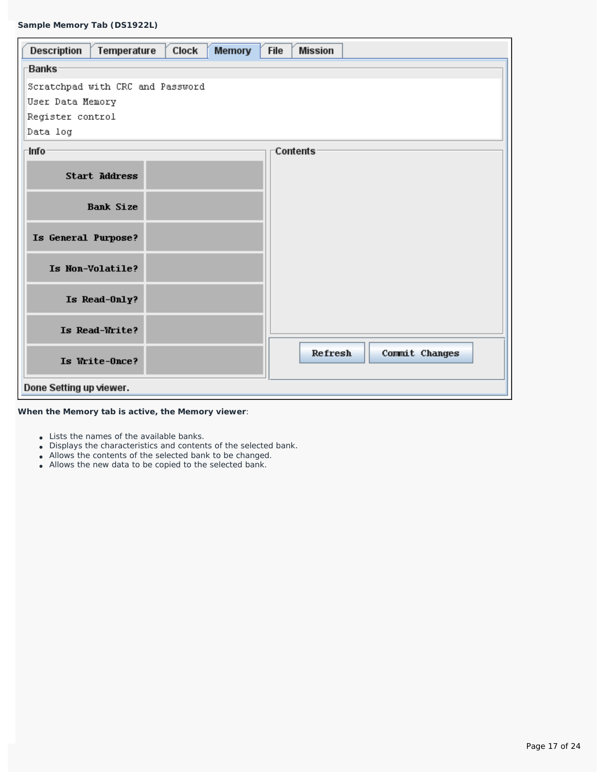| Temperature<br>Clock<br>Description<br><b>Memory</b> | <b>File</b><br><b>Mission</b> |
|------------------------------------------------------|-------------------------------|
| <b>Banks</b>                                         |                               |
| Scratchpad with CRC and Password                     |                               |
| User Data Memory                                     |                               |
| Register control                                     |                               |
| Data log                                             |                               |
| Info                                                 | Contents                      |
| <b>Start Address</b>                                 |                               |
| <b>Bank Size</b>                                     |                               |
| Is General Purpose?                                  |                               |
| Is Non-Volatile?                                     |                               |
| Is Read-Only?                                        |                               |
| Is Read-Write?                                       |                               |
| Is Write-Once?                                       | Refresh<br>Commit Changes     |
| Done Setting up viewer.                              |                               |

**When the Memory tab is active, the Memory viewer**:

- Lists the names of the available banks.
- Displays the characteristics and contents of the selected bank.
- Allows the contents of the selected bank to be changed.
- Allows the new data to be copied to the selected bank.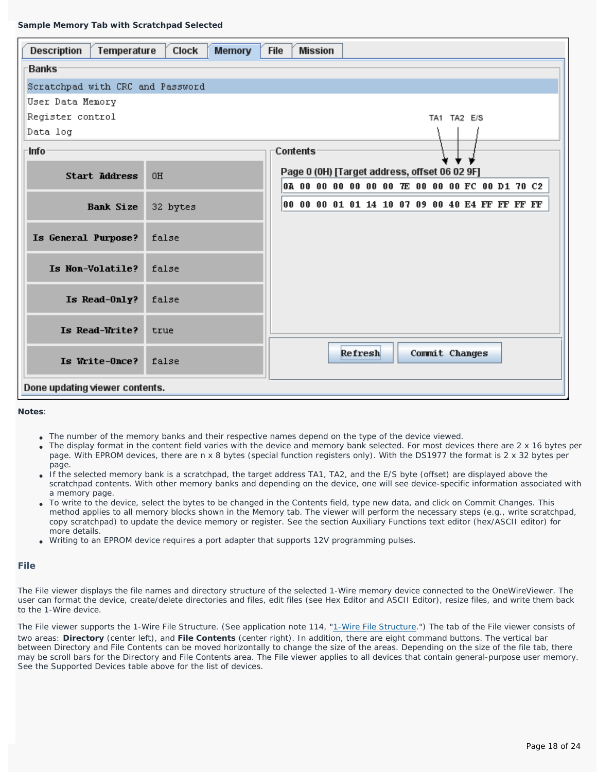| Description<br>Temperature       | Clock<br><b>Memory</b> | <b>Mission</b><br><b>File</b>                   |
|----------------------------------|------------------------|-------------------------------------------------|
| <b>Banks</b>                     |                        |                                                 |
| Scratchpad with CRC and Password |                        |                                                 |
| User Data Memory                 |                        |                                                 |
| Register control                 |                        | TA1 TA2 E/S                                     |
| Data log                         |                        |                                                 |
| ·Info                            |                        | Contents                                        |
| <b>Start Address</b>             | 0H                     | Page 0 (0H) [Target address, offset 06 02 9F]   |
|                                  |                        | 0A 00 00 00 00 00 00 7E 00 00 00 FC 00 D1 70 C2 |
| <b>Bank Size</b>                 | 32 bytes               | 00 00 00 01 01 14 10 07 09 00 40 E4 FF FF FF FF |
| Is General Purpose?              | false                  |                                                 |
| Is Non-Volatile?                 | false                  |                                                 |
| Is Read-Only?                    | false                  |                                                 |
| Is Read-Write?                   | true                   |                                                 |
| Is Write-Once?                   | false                  | Refresh<br>Commit Changes                       |
| Done updating viewer contents.   |                        |                                                 |

**Notes**:

- The number of the memory banks and their respective names depend on the type of the device viewed.
- The display format in the content field varies with the device and memory bank selected. For most devices there are 2 x 16 bytes per page. With EPROM devices, there are n x 8 bytes (special function registers only). With the DS1977 the format is 2 x 32 bytes per page.
- If the selected memory bank is a scratchpad, the target address TA1, TA2, and the E/S byte (offset) are displayed above the scratchpad contents. With other memory banks and depending on the device, one will see device-specific information associated with a memory page.
- To write to the device, select the bytes to be changed in the Contents field, type new data, and click on Commit Changes. This method applies to all memory blocks shown in the Memory tab. The viewer will perform the necessary steps (e.g., write scratchpad, copy scratchpad) to update the device memory or register. See the section *Auxiliary Functions* text editor (hex/ASCII editor) for more details.
- Writing to an EPROM device requires a port adapter that supports 12V programming pulses.

### **File**

The File viewer displays the file names and directory structure of the selected 1-Wire memory device connected to the OneWireViewer. The user can format the device, create/delete directories and files, edit files (see *Hex Editor* and *ASCII Editor*), resize files, and write them back to the 1-Wire device.

The File viewer supports the [1-Wire File Structure.](http://www.maxim-ic.com/an114) (See application note 114, "1-Wire File Structure.") The tab of the File viewer consists of two areas: **Directory** (center left), and **File Contents** (center right). In addition, there are eight command buttons. The vertical bar between Directory and File Contents can be moved horizontally to change the size of the areas. Depending on the size of the file tab, there may be scroll bars for the Directory and File Contents area. The File viewer applies to all devices that contain general-purpose user memory. See the *Supported Devices* table above for the list of devices.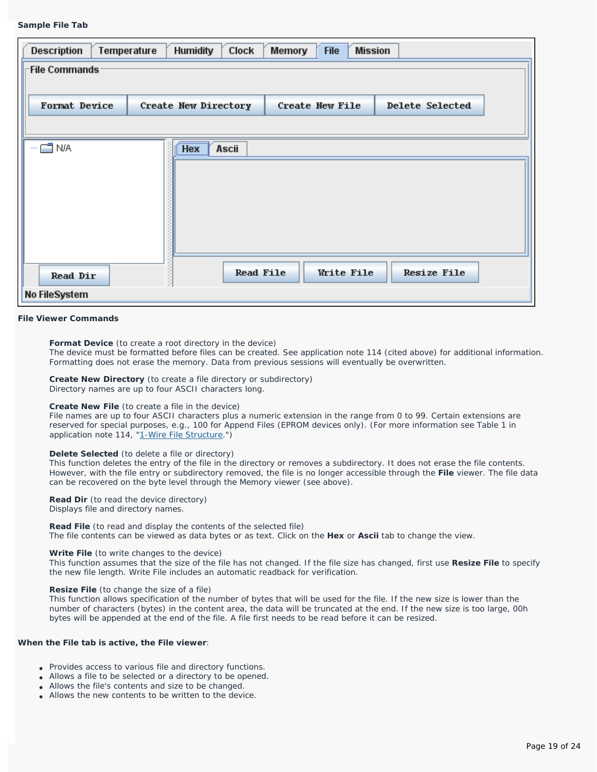#### **Sample File Tab**

| <b>Description</b>   | <b>Humidity</b><br>Temperature | Clock | Memory                 | <b>File</b> | <b>Mission</b> |                    |  |
|----------------------|--------------------------------|-------|------------------------|-------------|----------------|--------------------|--|
| <b>File Commands</b> |                                |       |                        |             |                |                    |  |
| Format Device        | Create New Directory           |       | <b>Create New File</b> |             |                | Delete Selected    |  |
|                      |                                |       |                        |             |                |                    |  |
| $\Box$ N/A           | <b>Hex</b>                     | Ascii |                        |             |                |                    |  |
| <b>Read Dir</b>      |                                |       | <b>Read File</b>       | Write File  |                | <b>Resize File</b> |  |
| No FileSystem        |                                |       |                        |             |                |                    |  |

#### **File Viewer Commands**

**Format Device** (to create a root directory in the device)

The device must be formatted before files can be created. See application note 114 (cited above) for additional information. Formatting does not erase the memory. Data from previous sessions will eventually be overwritten.

**Create New Directory** (to create a file directory or subdirectory) Directory names are up to four ASCII characters long.

#### **Create New File** (to create a file in the device)

File names are up to four ASCII characters plus a numeric extension in the range from 0 to 99. Certain extensions are reserved for special purposes, e.g., 100 for Append Files (EPROM devices only). (For more information see Table 1 in application note 114, ["1-Wire File Structure](http://www.maxim-ic.com/an114).")

#### **Delete Selected** (to delete a file or directory)

This function deletes the entry of the file in the directory or removes a subdirectory. It does not erase the file contents. However, with the file entry or subdirectory removed, the file is no longer accessible through the **File** viewer. The file data can be recovered on the byte level through the Memory viewer (see above).

#### **Read Dir** (to read the device directory) Displays file and directory names.

**Read File** (to read and display the contents of the selected file) The file contents can be viewed as data bytes or as text. Click on the **Hex** or **Ascii** tab to change the view.

#### **Write File** (to write changes to the device)

This function assumes that the *size* of the file has *not changed*. If the file size has changed, first use **Resize File** to specify the new file length. Write File includes an automatic readback for verification.

#### **Resize File** (to change the size of a file)

This function allows specification of the number of bytes that will be used for the file. If the new size is lower than the number of characters (bytes) in the content area, the data will be truncated at the end. If the new size is too large, 00h bytes will be appended at the end of the file. A file first needs to be read before it can be resized.

#### **When the File tab is active, the File viewer**:

- Provides access to various file and directory functions.
- Allows a file to be selected or a directory to be opened.
- Allows the file's contents and size to be changed.
- Allows the new contents to be written to the device.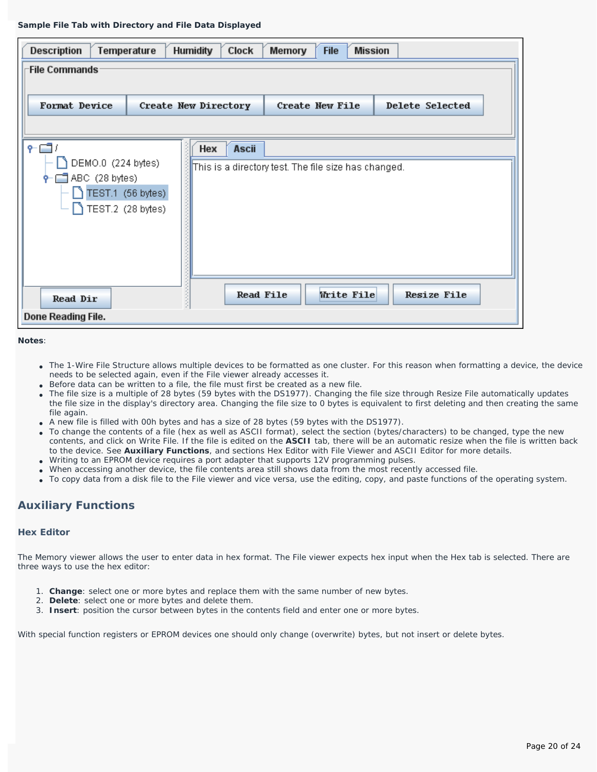#### **Sample File Tab with Directory and File Data Displayed**

| Description                                           | Temperature                            | <b>Humidity</b><br><b>Clock</b> | <b>Mission</b><br><b>File</b><br>Memory              |                    |
|-------------------------------------------------------|----------------------------------------|---------------------------------|------------------------------------------------------|--------------------|
| <b>File Commands</b>                                  |                                        |                                 |                                                      |                    |
| <b>Format Device</b>                                  |                                        | Create New Directory            | <b>Create New File</b>                               | Delete Selected    |
|                                                       |                                        |                                 |                                                      |                    |
| / ⊑⊐ ؟<br>DEMO.0 (224 bytes)<br>$\Box$ ABC (28 bytes) |                                        | <b>Ascii</b><br>Hex             | This is a directory test. The file size has changed. |                    |
|                                                       | TEST.1 (56 bytes)<br>TEST.2 (28 bytes) |                                 |                                                      |                    |
|                                                       |                                        |                                 |                                                      |                    |
| <b>Read Dir</b>                                       |                                        | <b>Read File</b>                | Write File                                           | <b>Resize File</b> |
| Done Reading File.                                    |                                        |                                 |                                                      |                    |

**Notes**:

- The 1-Wire File Structure allows multiple devices to be formatted as one cluster. For this reason when formatting a device, the device needs to be selected again, even if the File viewer already accesses it.
- Before data can be written to a file, the file must first be created as a new file.
- The file size is a multiple of 28 bytes (59 bytes with the DS1977). Changing the file size through Resize File automatically updates the file size in the display's directory area. Changing the file size to 0 bytes is equivalent to first deleting and then creating the same file again.
- A new file is filled with 00h bytes and has a size of 28 bytes (59 bytes with the DS1977).
- To change the contents of a file (hex as well as ASCII format), select the section (bytes/characters) to be changed, type the new contents, and click on Write File. If the file is edited on the **ASCII** tab, there will be an automatic resize when the file is written back to the device. See **Auxiliary Functions**, and sections *Hex Editor with File Viewer* and *ASCII Editor* for more details.
- Writing to an EPROM device requires a port adapter that supports 12V programming pulses.
- When accessing another device, the file contents area still shows data from the most recently accessed file.
- To copy data from a disk file to the File viewer and vice versa, use the editing, copy, and paste functions of the operating system.

## **Auxiliary Functions**

### **Hex Editor**

The Memory viewer allows the user to enter data in hex format. The File viewer expects hex input when the Hex tab is selected. There are three ways to use the hex editor:

- 1. **Change**: select one or more bytes and replace them with the same number of new bytes.
- 2. **Delete**: select one or more bytes and delete them.
- 3. **Insert**: position the cursor between bytes in the contents field and enter one or more bytes.

With special function registers or EPROM devices one should only change (overwrite) bytes, but not insert or delete bytes.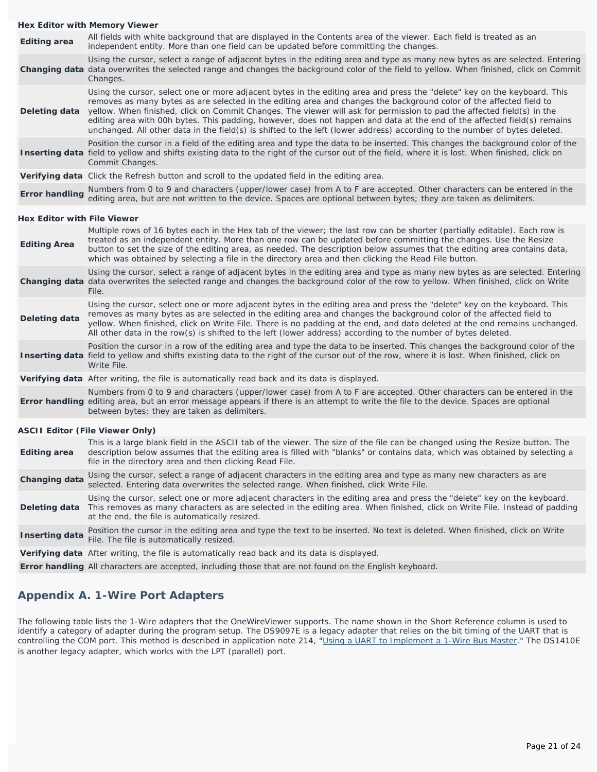#### **Hex Editor with Memory Viewer**

**Editing area** All fields with white background that are displayed in the Contents area of the viewer. *Each field is treated as an independent entity.* More than one field can be updated before committing the changes. Changing data data overwrites the selected range and changes the background color of the field to yellow. When finished, click on Commit Using the cursor, select a range of adjacent bytes in the editing area and type as many new bytes as are selected. Entering Changes. **Deleting data** Using the cursor, select one or more adjacent bytes in the editing area and press the "delete" key on the keyboard. This removes as many bytes as are selected in the editing area and changes the background color of the affected field to yellow. When finished, click on Commit Changes. The viewer will ask for permission to pad the affected field(s) in the editing area with 00h bytes. This padding, however, does not happen and data at the end of the affected field(s) remains unchanged. All other data in the field(s) is shifted to the left (lower address) according to the number of bytes deleted. Inserting data field to yellow and shifts existing data to the right of the cursor *out of the field*, where it is lost. When finished, click on Position the cursor in a field of the editing area and type the data to be inserted. This changes the background color of the Commit Changes. **Verifying data** Click the Refresh button and scroll to the updated field in the editing area.

## **Error handling** Numbers from 0 to 9 and characters (upper/lower case) from A to F are accepted. Other characters can be entered in the **Error handling** estimates that are not unit at the device. Spaces are entired between editing area, but are not written to the device. Spaces are optional between bytes; they are taken as delimiters.

### **Hex Editor with File Viewer**

| <b>Editing Area</b>   | Multiple rows of 16 bytes each in the Hex tab of the viewer; the last row can be shorter (partially editable). Each row is<br>treated as an independent entity. More than one row can be updated before committing the changes. Use the Resize<br>button to set the size of the editing area, as needed. The description below assumes that the editing area contains data,<br>which was obtained by selecting a file in the directory area and then clicking the Read File button.            |
|-----------------------|------------------------------------------------------------------------------------------------------------------------------------------------------------------------------------------------------------------------------------------------------------------------------------------------------------------------------------------------------------------------------------------------------------------------------------------------------------------------------------------------|
|                       | Using the cursor, select a range of adjacent bytes in the editing area and type as many new bytes as are selected. Entering<br>Changing data data overwrites the selected range and changes the background color of the row to yellow. When finished, click on Write<br>File.                                                                                                                                                                                                                  |
| Deleting data         | Using the cursor, select one or more adjacent bytes in the editing area and press the "delete" key on the keyboard. This<br>removes as many bytes as are selected in the editing area and changes the background color of the affected field to<br>yellow. When finished, click on Write File. There is no padding at the end, and data deleted at the end remains unchanged.<br>All other data in the row(s) is shifted to the left (lower address) according to the number of bytes deleted. |
|                       | Position the cursor in a row of the editing area and type the data to be inserted. This changes the background color of the<br>Inserting data field to yellow and shifts existing data to the right of the cursor out of the row, where it is lost. When finished, click on<br>Write File.                                                                                                                                                                                                     |
|                       | Verifying data After writing, the file is automatically read back and its data is displayed.                                                                                                                                                                                                                                                                                                                                                                                                   |
|                       | Numbers from 0 to 9 and characters (upper/lower case) from A to F are accepted. Other characters can be entered in the<br>Error handling editing area, but an error message appears if there is an attempt to write the file to the device. Spaces are optional<br>between bytes; they are taken as delimiters.                                                                                                                                                                                |
|                       | <b>ASCII Editor (File Viewer Only)</b>                                                                                                                                                                                                                                                                                                                                                                                                                                                         |
| <b>Editing area</b>   | This is a large blank field in the ASCII tab of the viewer. The size of the file can be changed using the Resize button. The<br>description below assumes that the editing area is filled with "blanks" or contains data, which was obtained by selecting a<br>file in the directory area and then clicking Read File.                                                                                                                                                                         |
| <b>Changing data</b>  | Using the cursor, select a range of adjacent characters in the editing area and type as many new characters as are<br>selected. Entering data overwrites the selected range. When finished, click Write File.                                                                                                                                                                                                                                                                                  |
|                       | Using the cursor, select one or more adjacent characters in the editing area and press the "delete" key on the keyboard.<br>Deleting data This removes as many characters as are selected in the editing area. When finished, click on Write File. Instead of padding<br>at the end, the file is automatically resized.                                                                                                                                                                        |
| <b>Inserting data</b> | Position the cursor in the editing area and type the text to be inserted. No text is deleted. When finished, click on Write<br>File. The file is automatically resized.                                                                                                                                                                                                                                                                                                                        |
|                       | Verifying data After writing, the file is automatically read back and its data is displayed.                                                                                                                                                                                                                                                                                                                                                                                                   |
|                       |                                                                                                                                                                                                                                                                                                                                                                                                                                                                                                |

**Error handling** All characters are accepted, including those that are not found on the English keyboard.

## **Appendix A. 1-Wire Port Adapters**

The following table lists the 1-Wire adapters that the OneWireViewer supports. The name shown in the Short Reference column is used to identify a category of adapter during the program setup. The DS9097E is a legacy adapter that relies on the bit timing of the UART that is controlling the COM port. This method is described in application note 214, ["Using a UART to Implement a 1-Wire Bus Master](http://www.maxim-ic.com/an214)." The DS1410E is another legacy adapter, which works with the LPT (parallel) port.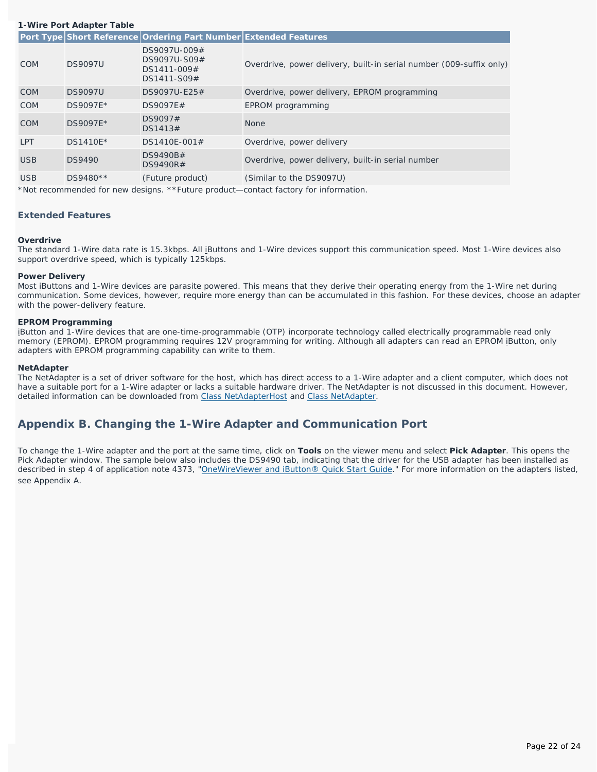|            | 1-Wire Port Adapter Table |                                                                  |                                                                     |  |  |  |
|------------|---------------------------|------------------------------------------------------------------|---------------------------------------------------------------------|--|--|--|
|            |                           | Port Type Short Reference Ordering Part Number Extended Features |                                                                     |  |  |  |
| <b>COM</b> | <b>DS9097U</b>            | DS9097U-009#<br>DS9097U-S09#<br>DS1411-009#<br>DS1411-S09#       | Overdrive, power delivery, built-in serial number (009-suffix only) |  |  |  |
| <b>COM</b> | <b>DS9097U</b>            | DS9097U-E25#                                                     | Overdrive, power delivery, EPROM programming                        |  |  |  |
| <b>COM</b> | DS9097E*                  | DS9097E#                                                         | EPROM programming                                                   |  |  |  |
| <b>COM</b> | DS9097E*                  | DS9097#<br>DS1413#                                               | <b>None</b>                                                         |  |  |  |
| <b>LPT</b> | DS1410E*                  | DS1410E-001#                                                     | Overdrive, power delivery                                           |  |  |  |
| <b>USB</b> | <b>DS9490</b>             | DS9490B#<br>DS9490R#                                             | Overdrive, power delivery, built-in serial number                   |  |  |  |
| <b>USB</b> | DS9480**                  | (Future product)                                                 | (Similar to the DS9097U)                                            |  |  |  |
|            |                           |                                                                  |                                                                     |  |  |  |

\*Not recommended for new designs. \*\*Future product—contact factory for information.

## **Extended Features**

## **Overdrive**

The standard 1-Wire data rate is 15.3kbps. All iButtons and 1-Wire devices support this communication speed. Most 1-Wire devices also support overdrive speed, which is typically 125kbps.

## **Power Delivery**

Most iButtons and 1-Wire devices are parasite powered. This means that they derive their operating energy from the 1-Wire net during communication. Some devices, however, require more energy than can be accumulated in this fashion. For these devices, choose an adapter with the power-delivery feature.

## **EPROM Programming**

iButton and 1-Wire devices that are one-time-programmable (OTP) incorporate technology called electrically programmable read only memory (EPROM). EPROM programming requires 12V programming for writing. Although all adapters can read an EPROM iButton, only adapters with EPROM programming capability can write to them.

## **NetAdapter**

The NetAdapter is a set of driver software for the host, which has direct access to a 1-Wire adapter and a client computer, which does not have a suitable port for a 1-Wire adapter or lacks a suitable hardware driver. The NetAdapter is not discussed in this document. However, detailed information can be downloaded from [Class NetAdapterHost](http://files.dalsemi.com/auto_id/softdev/owdocs/Docs/OWCom/owapi/NetAdapterHost.html) and [Class NetAdapter.](http://files.dalsemi.com/auto_id/softdev/owdocs/Docs/OWCom/owapi/NetAdapter.html)

# **Appendix B. Changing the 1-Wire Adapter and Communication Port**

To change the 1-Wire adapter and the port *at the same time*, click on **Tools** on the viewer menu and select **Pick Adapter**. This opens the Pick Adapter window. The sample below also includes the DS9490 tab, indicating that the driver for the USB adapter has been installed as described in step 4 of application note 4373, "[OneWireViewer and iButton® Quick Start Guide](http://www.maxim-ic.com/an4373)." For more information on the adapters listed, see *Appendix A*.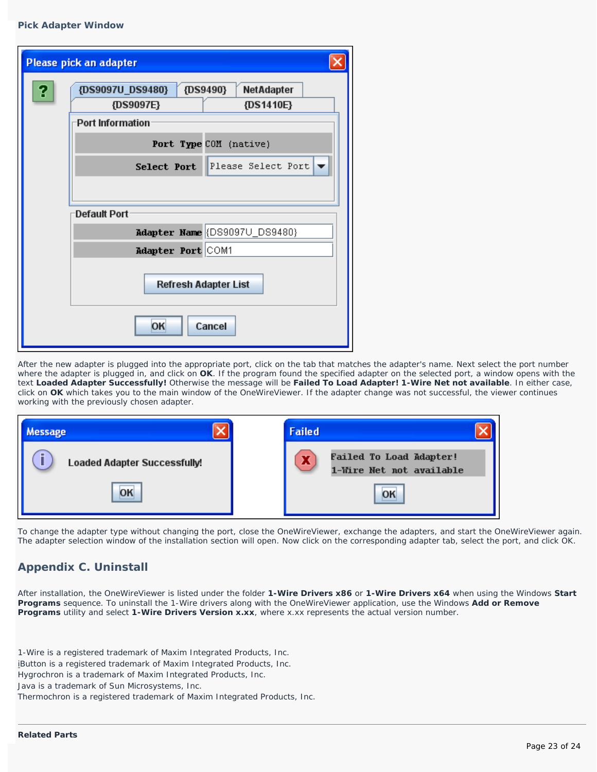## **Pick Adapter Window**

|   | Please pick an adapter                     |
|---|--------------------------------------------|
| ? | {DS9490}<br>{DS9097U_DS9480}<br>NetAdapter |
|   | {DS9097E}<br>{DS1410E}                     |
|   | Port Information                           |
|   | Port Type COM (native)                     |
|   | Please Select Port v<br>Select Port        |
|   |                                            |
|   | Default Port                               |
|   | Adapter Name (DS9097U_DS9480)              |
|   | Adapter Port COM1                          |
|   | Refresh Adapter List                       |
|   | OK<br>Cancel                               |

After the new adapter is plugged into the appropriate port, click on the tab that matches the adapter's name. Next select the port number where the adapter is plugged in, and click on **OK**. If the program found the specified adapter on the selected port, a window opens with the text **Loaded Adapter Successfully!** Otherwise the message will be **Failed To Load Adapter! 1-Wire Net not available**. In either case, click on **OK** which takes you to the main window of the OneWireViewer. If the adapter change was not successful, the viewer continues working with the previously chosen adapter.

| Aessage                             | <b>Failed</b>                                                   |  |
|-------------------------------------|-----------------------------------------------------------------|--|
| <b>Loaded Adapter Successfully!</b> | <b>Failed To Load Adapter!</b><br>л<br>1-Wire Net not available |  |
| OK                                  | OK                                                              |  |

To change the adapter type *without changing the port*, close the OneWireViewer, exchange the adapters, and start the OneWireViewer again. The adapter selection window of the installation section will open. Now click on the corresponding adapter tab, select the port, and click OK.

# **Appendix C. Uninstall**

After installation, the OneWireViewer is listed under the folder **1-Wire Drivers x86** or **1-Wire Drivers x64** when using the Windows **Start Programs** sequence. To uninstall the 1-Wire drivers along with the OneWireViewer application, use the Windows **Add or Remove Programs** utility and select **1-Wire Drivers Version x.xx**, where x.xx represents the actual version number.

1-Wire is a registered trademark of Maxim Integrated Products, Inc. iButton is a registered trademark of Maxim Integrated Products, Inc.

Hygrochron is a trademark of Maxim Integrated Products, Inc.

Java is a trademark of Sun Microsystems, Inc.

Thermochron is a registered trademark of Maxim Integrated Products, Inc.